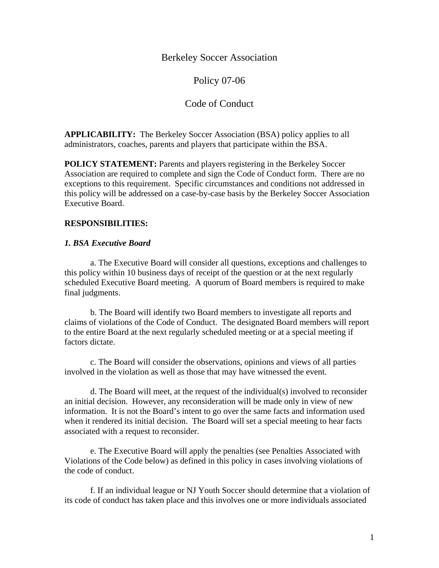Berkeley Soccer Association

Policy 07-06

# Code of Conduct

**APPLICABILITY:** The Berkeley Soccer Association (BSA) policy applies to all administrators, coaches, parents and players that participate within the BSA.

**POLICY STATEMENT:** Parents and players registering in the Berkeley Soccer Association are required to complete and sign the Code of Conduct form. There are no exceptions to this requirement. Specific circumstances and conditions not addressed in this policy will be addressed on a case-by-case basis by the Berkeley Soccer Association Executive Board.

### **RESPONSIBILITIES:**

#### *1. BSA Executive Board*

 a. The Executive Board will consider all questions, exceptions and challenges to this policy within 10 business days of receipt of the question or at the next regularly scheduled Executive Board meeting. A quorum of Board members is required to make final judgments.

 b. The Board will identify two Board members to investigate all reports and claims of violations of the Code of Conduct. The designated Board members will report to the entire Board at the next regularly scheduled meeting or at a special meeting if factors dictate.

 c. The Board will consider the observations, opinions and views of all parties involved in the violation as well as those that may have witnessed the event.

 d. The Board will meet, at the request of the individual(s) involved to reconsider an initial decision. However, any reconsideration will be made only in view of new information. It is not the Board's intent to go over the same facts and information used when it rendered its initial decision. The Board will set a special meeting to hear facts associated with a request to reconsider.

 e. The Executive Board will apply the penalties (see Penalties Associated with Violations of the Code below) as defined in this policy in cases involving violations of the code of conduct.

 f. If an individual league or NJ Youth Soccer should determine that a violation of its code of conduct has taken place and this involves one or more individuals associated